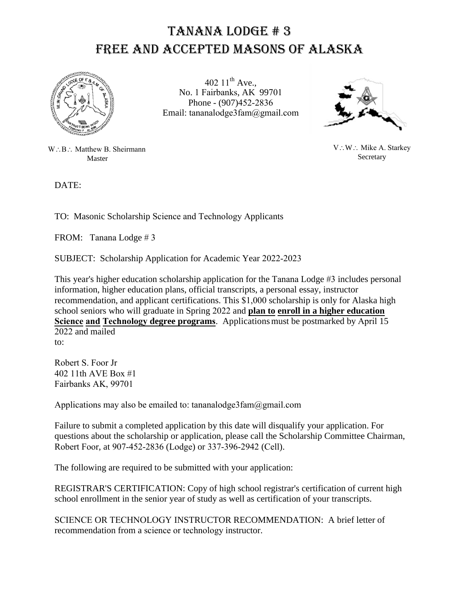## tanana Lodge # 3 Free and Accepted Masons of Alaska



402  $11^{th}$  Ave., No. 1 Fairbanks, AK 99701 Phone - (907)452-2836 Email: tananalodge3fam@gmail.com



W: B: Matthew B. Sheirmann Master

DATE:

 $V:W:$  Mike A. Starkey Secretary

TO: Masonic Scholarship Science and Technology Applicants

FROM: Tanana Lodge # 3

SUBJECT: Scholarship Application for Academic Year 2022-2023

This year's higher education scholarship application for the Tanana Lodge #3 includes personal information, higher education plans, official transcripts, a personal essay, instructor recommendation, and applicant certifications. This \$1,000 scholarship is only for Alaska high school seniors who will graduate in Spring 2022 and **plan to enroll in a higher education Science and Technology degree programs**. Applicationsmust be postmarked by April 15 2022 and mailed

to:

Robert S. Foor Jr 402 11th AVE Box #1 Fairbanks AK, 99701

Applications may also be emailed to: tananalodge3fam@gmail.com

Failure to submit a completed application by this date will disqualify your application. For questions about the scholarship or application, please call the Scholarship Committee Chairman, Robert Foor, at 907-452-2836 (Lodge) or 337-396-2942 (Cell).

The following are required to be submitted with your application:

REGISTRAR'S CERTIFICATION: Copy of high school registrar's certification of current high school enrollment in the senior year of study as well as certification of your transcripts.

SCIENCE OR TECHNOLOGY INSTRUCTOR RECOMMENDATION: A brief letter of recommendation from a science or technology instructor.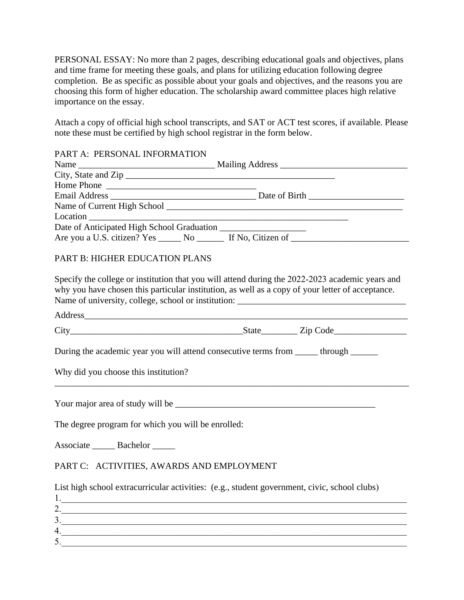PERSONAL ESSAY: No more than 2 pages, describing educational goals and objectives, plans and time frame for meeting these goals, and plans for utilizing education following degree completion. Be as specific as possible about your goals and objectives, and the reasons you are choosing this form of higher education. The scholarship award committee places high relative importance on the essay.

Attach a copy of official high school transcripts, and SAT or ACT test scores, if available. Please note these must be certified by high school registrar in the form below.

| PART A: PERSONAL INFORMATION |  |
|------------------------------|--|
|                              |  |
|                              |  |
|                              |  |
|                              |  |
|                              |  |
|                              |  |
|                              |  |
|                              |  |

## PART B: HIGHER EDUCATION PLANS

Specify the college or institution that you will attend during the 2022-2023 academic years and why you have chosen this particular institution, as well as a copy of your letter of acceptance. Name of university, college, school or institution:

Address

| $\sim$<br>ັບ | $-0.40$<br>-21 F<br>$\cdots$ | -<br>.<br>ш |
|--------------|------------------------------|-------------|
|              |                              |             |

\_\_\_\_\_\_\_\_\_\_\_\_\_\_\_\_\_\_\_\_\_\_\_\_\_\_\_\_\_\_\_\_\_\_\_\_\_\_\_\_\_\_\_\_\_\_\_\_\_\_\_\_\_\_\_\_\_\_\_\_\_\_\_\_\_\_\_\_\_\_\_\_\_\_\_\_\_\_

During the academic year you will attend consecutive terms from through  $\mu$ 

Why did you choose this institution?

Your major area of study will be \_\_\_\_\_\_\_\_\_\_\_\_\_\_\_\_\_\_\_\_\_\_\_\_\_\_\_\_\_\_\_\_\_\_\_\_\_\_\_\_\_\_\_\_

The degree program for which you will be enrolled:

Associate Bachelor

## PART C: ACTIVITIES, AWARDS AND EMPLOYMENT

List high school extracurricular activities: (e.g., student government, civic, school clubs)

| <u>.</u> |  |
|----------|--|
|          |  |
|          |  |
|          |  |